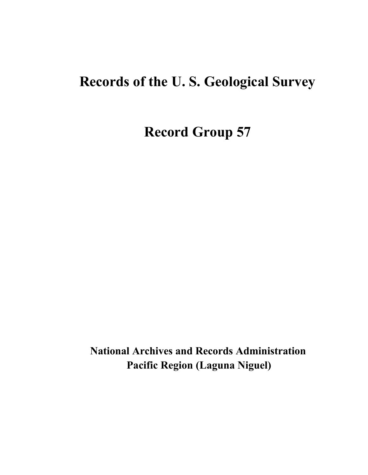# **Records of the U. S. Geological Survey**

**Record Group 57**

**National Archives and Records Administration Pacific Region (Laguna Niguel)**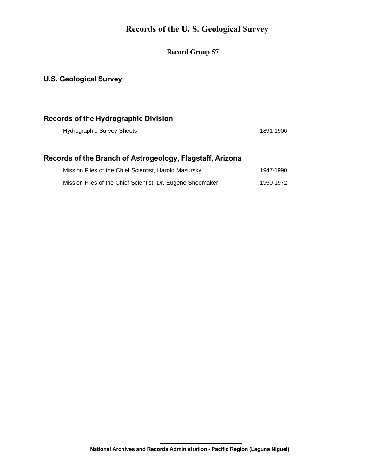### **Records of the U. S. Geological Survey**

#### **Record Group 57**

#### **U.S. Geological Survey**

#### **Records of the Hydrographic Division**

Hydrographic Survey Sheets 1891-1906

#### **Records of the Branch of Astrogeology, Flagstaff, Arizona**

| Mission Files of the Chief Scientist, Harold Masursky      | 1947-1990 |
|------------------------------------------------------------|-----------|
| Mission Files of the Chief Scientist, Dr. Eugene Shoemaker | 1950-1972 |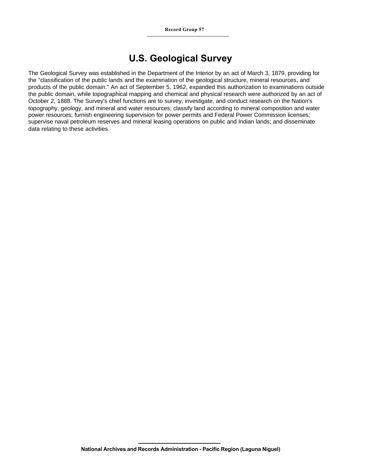## **U.S. Geological Survey**

The Geological Survey was established in the Department of the Interior by an act of March 3, 1879, providing for the "classification of the public lands and the examination of the geological structure, mineral resources, and products of the public domain." An act of September 5, 1962, expanded this authorization to examinations outside the public domain, while topographical mapping and chemical and physical research were authorized by an act of October 2, 1888. The Survey's chief functions are to survey, investigate, and conduct research on the Nation's topography, geology, and mineral and water resources; classify land according to mineral composition and water power resources; furnish engineering supervision for power permits and Federal Power Commission licenses; supervise naval petroleum reserves and mineral leasing operations on public and Indian lands; and disseminate data relating to these activities.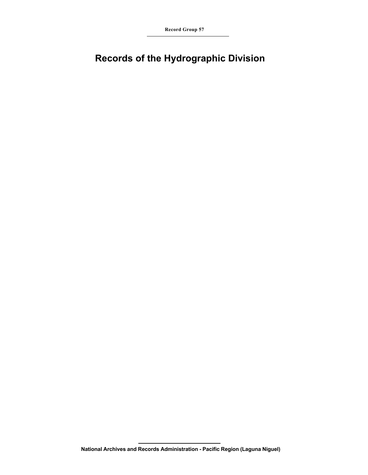**Record Group 57**

## **Records of the Hydrographic Division**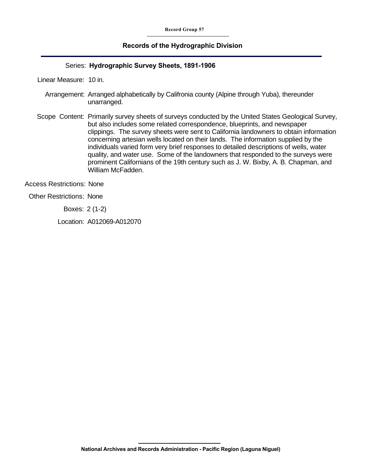#### **Records of the Hydrographic Division**

#### Series: **Hydrographic Survey Sheets, 1891-1906**

Linear Measure: 10 in.

- Arrangement: Arranged alphabetically by Califronia county (Alpine through Yuba), thereunder unarranged.
- Scope Content: Primarily survey sheets of surveys conducted by the United States Geological Survey, but also includes some related correspondence, blueprints, and newspaper clippings. The survey sheets were sent to California landowners to obtain information concerning artesian wells located on their lands. The information supplied by the individuals varied form very brief responses to detailed descriptions of wells, water quality, and water use. Some of the landowners that responded to the surveys were prominent Californians of the 19th century such as J. W. Bixby, A. B. Chapman, and William McFadden.

Access Restrictions: None

Other Restrictions: None

Boxes: 2 (1-2)

Location: A012069-A012070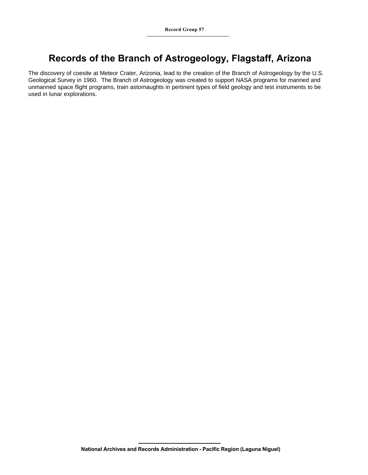## **Records of the Branch of Astrogeology, Flagstaff, Arizona**

The discovery of coesite at Meteor Crater, Arizonia, lead to the creation of the Branch of Astrogeology by the U.S. Geological Survey in 1960. The Branch of Astrogeology was created to support NASA programs for manned and unmanned space flight programs, train astornaughts in pertinent types of field geology and test instruments to be used in lunar explorations.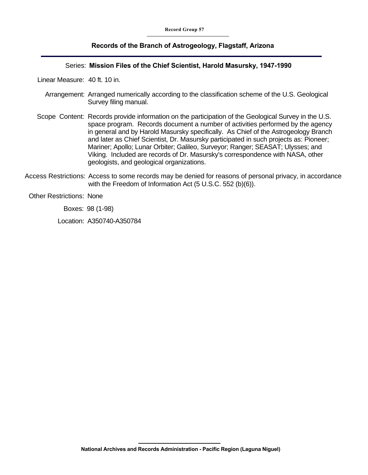#### **Records of the Branch of Astrogeology, Flagstaff, Arizona**

#### Series: **Mission Files of the Chief Scientist, Harold Masursky, 1947-1990**

Linear Measure: 40 ft. 10 in.

- Arrangement: Arranged numerically according to the classification scheme of the U.S. Geological Survey filing manual.
- Scope Content: Records provide information on the participation of the Geological Survey in the U.S. space program. Records document a number of activities performed by the agency in general and by Harold Masursky specifically. As Chief of the Astrogeology Branch and later as Chief Scientist, Dr. Masursky participated in such projects as: Pioneer; Mariner; Apollo; Lunar Orbiter; Galileo, Surveyor; Ranger; SEASAT; Ulysses; and Viking. Included are records of Dr. Masursky's correspondence with NASA, other geologists, and geological organizations.
- Access Restrictions: Access to some records may be denied for reasons of personal privacy, in accordance with the Freedom of Information Act (5 U.S.C. 552 (b)(6)).

#### Other Restrictions: None

Boxes: 98 (1-98)

Location: A350740-A350784